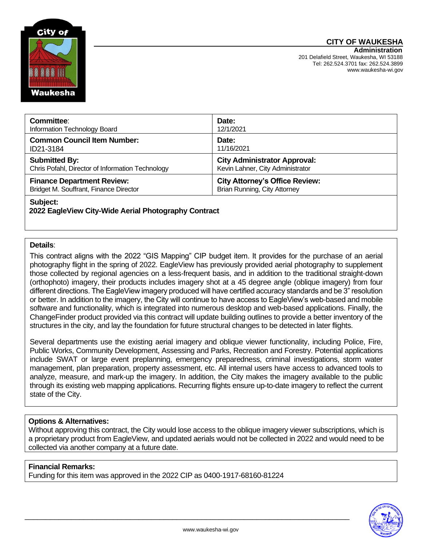# **CITY OF WAUKESHA**



| Committee:                                       | Date:                                 |
|--------------------------------------------------|---------------------------------------|
| Information Technology Board                     | 12/1/2021                             |
| <b>Common Council Item Number:</b>               | Date:                                 |
| ID21-3184                                        | 11/16/2021                            |
| <b>Submitted By:</b>                             | <b>City Administrator Approval:</b>   |
| Chris Pofahl, Director of Information Technology | Kevin Lahner, City Administrator      |
| <b>Finance Department Review:</b>                | <b>City Attorney's Office Review:</b> |
| Bridget M. Souffrant, Finance Director           | <b>Brian Running, City Attorney</b>   |
| Subject:                                         |                                       |

## **2022 EagleView City-Wide Aerial Photography Contract**

#### **Details**:

This contract aligns with the 2022 "GIS Mapping" CIP budget item. It provides for the purchase of an aerial photography flight in the spring of 2022. EagleView has previously provided aerial photography to supplement those collected by regional agencies on a less-frequent basis, and in addition to the traditional straight-down (orthophoto) imagery, their products includes imagery shot at a 45 degree angle (oblique imagery) from four different directions. The EagleView imagery produced will have certified accuracy standards and be 3" resolution or better. In addition to the imagery, the City will continue to have access to EagleView's web-based and mobile software and functionality, which is integrated into numerous desktop and web-based applications. Finally, the ChangeFinder product provided via this contract will update building outlines to provide a better inventory of the structures in the city, and lay the foundation for future structural changes to be detected in later flights.

Several departments use the existing aerial imagery and oblique viewer functionality, including Police, Fire, Public Works, Community Development, Assessing and Parks, Recreation and Forestry. Potential applications include SWAT or large event preplanning, emergency preparedness, criminal investigations, storm water management, plan preparation, property assessment, etc. All internal users have access to advanced tools to analyze, measure, and mark-up the imagery. In addition, the City makes the imagery available to the public through its existing web mapping applications. Recurring flights ensure up-to-date imagery to reflect the current state of the City.

#### **Options & Alternatives:**

Without approving this contract, the City would lose access to the oblique imagery viewer subscriptions, which is a proprietary product from EagleView, and updated aerials would not be collected in 2022 and would need to be collected via another company at a future date.

### **Financial Remarks:**

Funding for this item was approved in the 2022 CIP as 0400-1917-68160-81224



\_\_\_\_\_\_\_\_\_\_\_\_\_\_\_\_\_\_\_\_\_\_\_\_\_\_\_\_\_\_\_\_\_\_\_\_\_\_\_\_\_\_\_\_\_\_\_\_\_\_\_\_\_\_\_\_\_\_\_\_\_\_\_\_\_\_\_\_\_\_\_\_\_\_\_\_\_